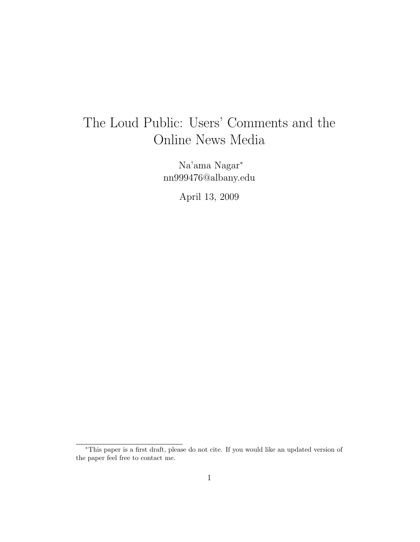# The Loud Public: Users' Comments and the Online News Media

Na'ama Nagar<sup>∗</sup> nn999476@albany.edu

April 13, 2009

<sup>∗</sup>This paper is a first draft, please do not cite. If you would like an updated version of the paper feel free to contact me.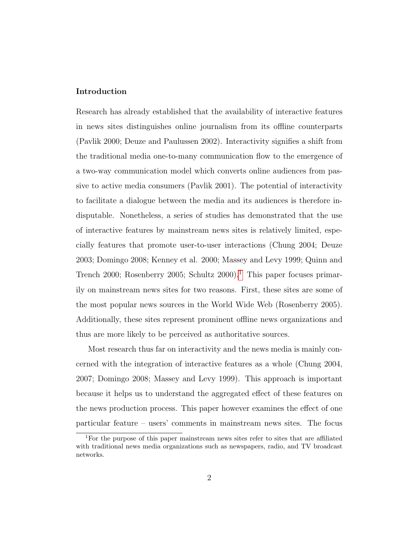#### Introduction

Research has already established that the availability of interactive features in news sites distinguishes online journalism from its offline counterparts (Pavlik 2000; Deuze and Paulussen 2002). Interactivity signifies a shift from the traditional media one-to-many communication flow to the emergence of a two-way communication model which converts online audiences from passive to active media consumers (Pavlik 2001). The potential of interactivity to facilitate a dialogue between the media and its audiences is therefore indisputable. Nonetheless, a series of studies has demonstrated that the use of interactive features by mainstream news sites is relatively limited, especially features that promote user-to-user interactions (Chung 2004; Deuze 2003; Domingo 2008; Kenney et al. 2000; Massey and Levy 1999; Quinn and Trench 2000; Rosenberry 2005; Schultz  $2000$ <sup>[1](#page-1-0)</sup>. This paper focuses primarily on mainstream news sites for two reasons. First, these sites are some of the most popular news sources in the World Wide Web (Rosenberry 2005). Additionally, these sites represent prominent offline news organizations and thus are more likely to be perceived as authoritative sources.

Most research thus far on interactivity and the news media is mainly concerned with the integration of interactive features as a whole (Chung 2004, 2007; Domingo 2008; Massey and Levy 1999). This approach is important because it helps us to understand the aggregated effect of these features on the news production process. This paper however examines the effect of one particular feature – users' comments in mainstream news sites. The focus

<span id="page-1-0"></span><sup>1</sup>For the purpose of this paper mainstream news sites refer to sites that are affiliated with traditional news media organizations such as newspapers, radio, and TV broadcast networks.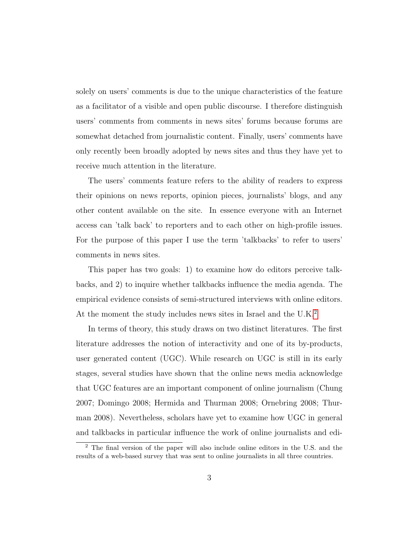solely on users' comments is due to the unique characteristics of the feature as a facilitator of a visible and open public discourse. I therefore distinguish users' comments from comments in news sites' forums because forums are somewhat detached from journalistic content. Finally, users' comments have only recently been broadly adopted by news sites and thus they have yet to receive much attention in the literature.

The users' comments feature refers to the ability of readers to express their opinions on news reports, opinion pieces, journalists' blogs, and any other content available on the site. In essence everyone with an Internet access can 'talk back' to reporters and to each other on high-profile issues. For the purpose of this paper I use the term 'talkbacks' to refer to users' comments in news sites.

This paper has two goals: 1) to examine how do editors perceive talkbacks, and 2) to inquire whether talkbacks influence the media agenda. The empirical evidence consists of semi-structured interviews with online editors. At the moment the study includes news sites in Israel and the U.K.<sup>[2](#page-2-0)</sup>

In terms of theory, this study draws on two distinct literatures. The first literature addresses the notion of interactivity and one of its by-products, user generated content (UGC). While research on UGC is still in its early stages, several studies have shown that the online news media acknowledge that UGC features are an important component of online journalism (Chung 2007; Domingo 2008; Hermida and Thurman 2008; Ornebring 2008; Thurman 2008). Nevertheless, scholars have yet to examine how UGC in general and talkbacks in particular influence the work of online journalists and edi-

<span id="page-2-0"></span><sup>2</sup> The final version of the paper will also include online editors in the U.S. and the results of a web-based survey that was sent to online journalists in all three countries.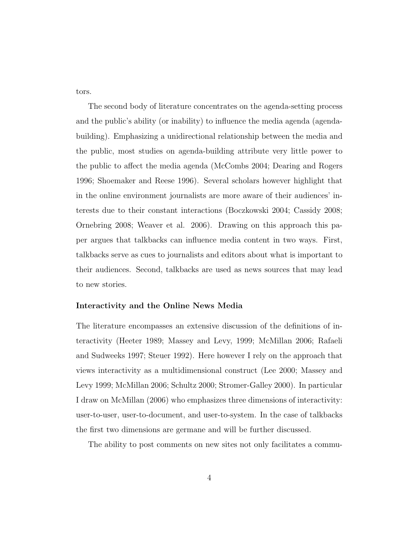tors.

The second body of literature concentrates on the agenda-setting process and the public's ability (or inability) to influence the media agenda (agendabuilding). Emphasizing a unidirectional relationship between the media and the public, most studies on agenda-building attribute very little power to the public to affect the media agenda (McCombs 2004; Dearing and Rogers 1996; Shoemaker and Reese 1996). Several scholars however highlight that in the online environment journalists are more aware of their audiences' interests due to their constant interactions (Boczkowski 2004; Cassidy 2008; Ornebring 2008; Weaver et al. 2006). Drawing on this approach this paper argues that talkbacks can influence media content in two ways. First, talkbacks serve as cues to journalists and editors about what is important to their audiences. Second, talkbacks are used as news sources that may lead to new stories.

#### Interactivity and the Online News Media

The literature encompasses an extensive discussion of the definitions of interactivity (Heeter 1989; Massey and Levy, 1999; McMillan 2006; Rafaeli and Sudweeks 1997; Steuer 1992). Here however I rely on the approach that views interactivity as a multidimensional construct (Lee 2000; Massey and Levy 1999; McMillan 2006; Schultz 2000; Stromer-Galley 2000). In particular I draw on McMillan (2006) who emphasizes three dimensions of interactivity: user-to-user, user-to-document, and user-to-system. In the case of talkbacks the first two dimensions are germane and will be further discussed.

The ability to post comments on new sites not only facilitates a commu-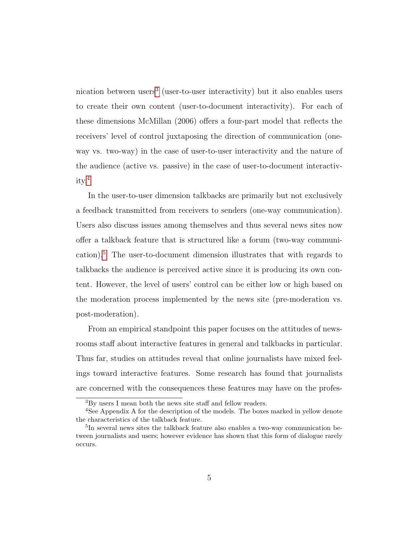nication between users<sup>[3](#page-4-0)</sup> (user-to-user interactivity) but it also enables users to create their own content (user-to-document interactivity). For each of these dimensions McMillan (2006) offers a four-part model that reflects the receivers' level of control juxtaposing the direction of communication (oneway vs. two-way) in the case of user-to-user interactivity and the nature of the audience (active vs. passive) in the case of user-to-document interactivity.[4](#page-4-1)

In the user-to-user dimension talkbacks are primarily but not exclusively a feedback transmitted from receivers to senders (one-way communication). Users also discuss issues among themselves and thus several news sites now offer a talkback feature that is structured like a forum (two-way communication).[5](#page-4-2) The user-to-document dimension illustrates that with regards to talkbacks the audience is perceived active since it is producing its own content. However, the level of users' control can be either low or high based on the moderation process implemented by the news site (pre-moderation vs. post-moderation).

From an empirical standpoint this paper focuses on the attitudes of newsrooms staff about interactive features in general and talkbacks in particular. Thus far, studies on attitudes reveal that online journalists have mixed feelings toward interactive features. Some research has found that journalists are concerned with the consequences these features may have on the profes-

<span id="page-4-1"></span><span id="page-4-0"></span><sup>3</sup>By users I mean both the news site staff and fellow readers.

<sup>&</sup>lt;sup>4</sup>See Appendix A for the description of the models. The boxes marked in yellow denote the characteristics of the talkback feature.

<span id="page-4-2"></span><sup>&</sup>lt;sup>5</sup>In several news sites the talkback feature also enables a two-way communication between journalists and users; however evidence has shown that this form of dialogue rarely occurs.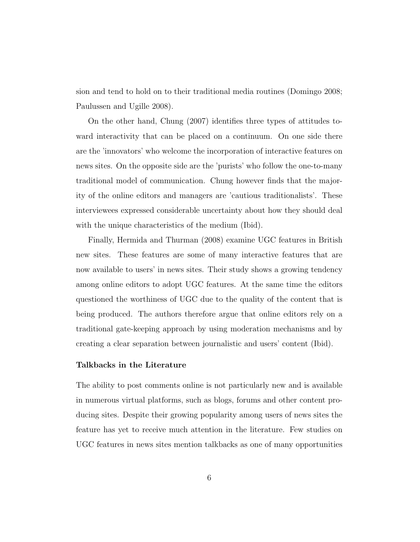sion and tend to hold on to their traditional media routines (Domingo 2008; Paulussen and Ugille 2008).

On the other hand, Chung (2007) identifies three types of attitudes toward interactivity that can be placed on a continuum. On one side there are the 'innovators' who welcome the incorporation of interactive features on news sites. On the opposite side are the 'purists' who follow the one-to-many traditional model of communication. Chung however finds that the majority of the online editors and managers are 'cautious traditionalists'. These interviewees expressed considerable uncertainty about how they should deal with the unique characteristics of the medium (Ibid).

Finally, Hermida and Thurman (2008) examine UGC features in British new sites. These features are some of many interactive features that are now available to users' in news sites. Their study shows a growing tendency among online editors to adopt UGC features. At the same time the editors questioned the worthiness of UGC due to the quality of the content that is being produced. The authors therefore argue that online editors rely on a traditional gate-keeping approach by using moderation mechanisms and by creating a clear separation between journalistic and users' content (Ibid).

#### Talkbacks in the Literature

The ability to post comments online is not particularly new and is available in numerous virtual platforms, such as blogs, forums and other content producing sites. Despite their growing popularity among users of news sites the feature has yet to receive much attention in the literature. Few studies on UGC features in news sites mention talkbacks as one of many opportunities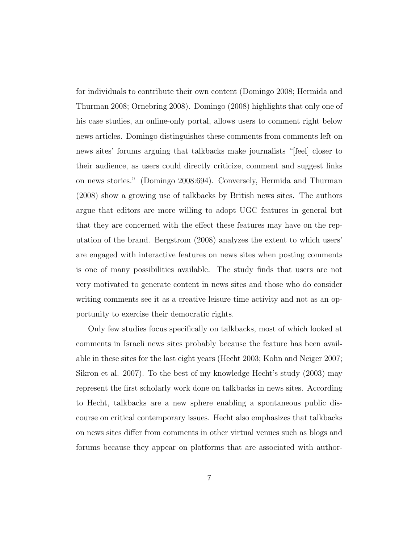for individuals to contribute their own content (Domingo 2008; Hermida and Thurman 2008; Ornebring 2008). Domingo (2008) highlights that only one of his case studies, an online-only portal, allows users to comment right below news articles. Domingo distinguishes these comments from comments left on news sites' forums arguing that talkbacks make journalists "[feel] closer to their audience, as users could directly criticize, comment and suggest links on news stories." (Domingo 2008:694). Conversely, Hermida and Thurman (2008) show a growing use of talkbacks by British news sites. The authors argue that editors are more willing to adopt UGC features in general but that they are concerned with the effect these features may have on the reputation of the brand. Bergstrom (2008) analyzes the extent to which users' are engaged with interactive features on news sites when posting comments is one of many possibilities available. The study finds that users are not very motivated to generate content in news sites and those who do consider writing comments see it as a creative leisure time activity and not as an opportunity to exercise their democratic rights.

Only few studies focus specifically on talkbacks, most of which looked at comments in Israeli news sites probably because the feature has been available in these sites for the last eight years (Hecht 2003; Kohn and Neiger 2007; Sikron et al. 2007). To the best of my knowledge Hecht's study (2003) may represent the first scholarly work done on talkbacks in news sites. According to Hecht, talkbacks are a new sphere enabling a spontaneous public discourse on critical contemporary issues. Hecht also emphasizes that talkbacks on news sites differ from comments in other virtual venues such as blogs and forums because they appear on platforms that are associated with author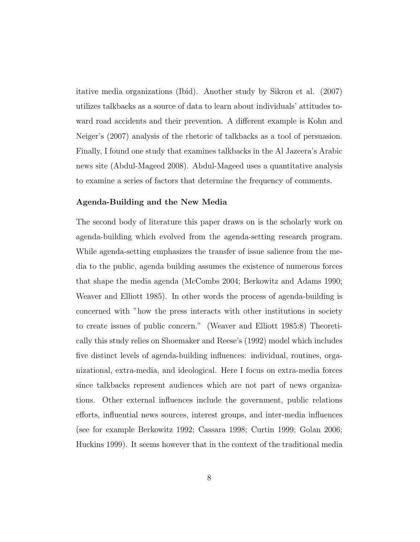itative media organizations (Ibid). Another study by Sikron et al. (2007) utilizes talkbacks as a source of data to learn about individuals' attitudes toward road accidents and their prevention. A different example is Kohn and Neiger's (2007) analysis of the rhetoric of talkbacks as a tool of persuasion. Finally, I found one study that examines talkbacks in the Al Jazeera's Arabic news site (Abdul-Mageed 2008). Abdul-Mageed uses a quantitative analysis to examine a series of factors that determine the frequency of comments.

#### Agenda-Building and the New Media

The second body of literature this paper draws on is the scholarly work on agenda-building which evolved from the agenda-setting research program. While agenda-setting emphasizes the transfer of issue salience from the media to the public, agenda building assumes the existence of numerous forces that shape the media agenda (McCombs 2004; Berkowitz and Adams 1990; Weaver and Elliott 1985). In other words the process of agenda-building is concerned with "how the press interacts with other institutions in society to create issues of public concern." (Weaver and Elliott 1985:8) Theoretically this study relies on Shoemaker and Reese's (1992) model which includes five distinct levels of agenda-building influences: individual, routines, organizational, extra-media, and ideological. Here I focus on extra-media forces since talkbacks represent audiences which are not part of news organizations. Other external influences include the government, public relations efforts, influential news sources, interest groups, and inter-media influences (see for example Berkowitz 1992; Cassara 1998; Curtin 1999; Golan 2006; Huckins 1999). It seems however that in the context of the traditional media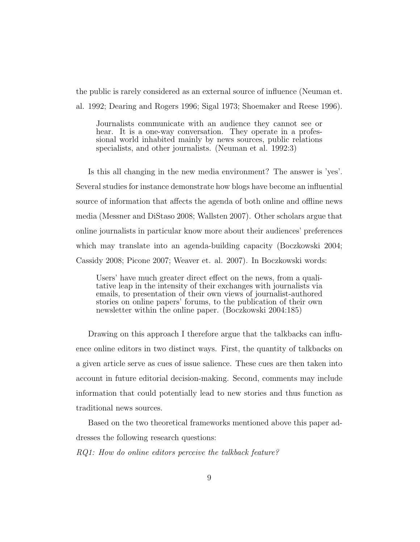the public is rarely considered as an external source of influence (Neuman et. al. 1992; Dearing and Rogers 1996; Sigal 1973; Shoemaker and Reese 1996).

Journalists communicate with an audience they cannot see or hear. It is a one-way conversation. They operate in a professional world inhabited mainly by news sources, public relations specialists, and other journalists. (Neuman et al. 1992:3)

Is this all changing in the new media environment? The answer is 'yes'. Several studies for instance demonstrate how blogs have become an influential source of information that affects the agenda of both online and offline news media (Messner and DiStaso 2008; Wallsten 2007). Other scholars argue that online journalists in particular know more about their audiences' preferences which may translate into an agenda-building capacity (Boczkowski 2004; Cassidy 2008; Picone 2007; Weaver et. al. 2007). In Boczkowski words:

Users' have much greater direct effect on the news, from a qualitative leap in the intensity of their exchanges with journalists via emails, to presentation of their own views of journalist-authored stories on online papers' forums, to the publication of their own newsletter within the online paper. (Boczkowski 2004:185)

Drawing on this approach I therefore argue that the talkbacks can influence online editors in two distinct ways. First, the quantity of talkbacks on a given article serve as cues of issue salience. These cues are then taken into account in future editorial decision-making. Second, comments may include information that could potentially lead to new stories and thus function as traditional news sources.

Based on the two theoretical frameworks mentioned above this paper addresses the following research questions:

RQ1: How do online editors perceive the talkback feature?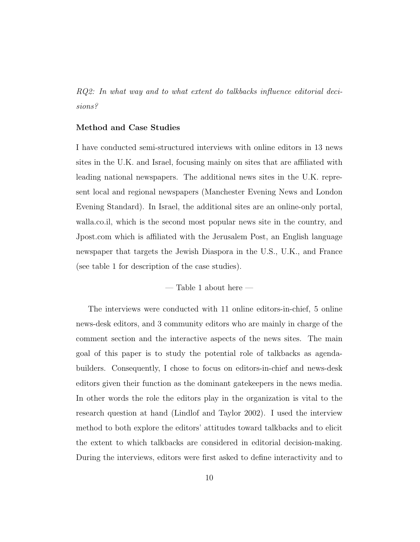RQ2: In what way and to what extent do talkbacks influence editorial decisions?

#### Method and Case Studies

I have conducted semi-structured interviews with online editors in 13 news sites in the U.K. and Israel, focusing mainly on sites that are affiliated with leading national newspapers. The additional news sites in the U.K. represent local and regional newspapers (Manchester Evening News and London Evening Standard). In Israel, the additional sites are an online-only portal, walla.co.il, which is the second most popular news site in the country, and Jpost.com which is affiliated with the Jerusalem Post, an English language newspaper that targets the Jewish Diaspora in the U.S., U.K., and France (see table 1 for description of the case studies).

— Table 1 about here —

The interviews were conducted with 11 online editors-in-chief, 5 online news-desk editors, and 3 community editors who are mainly in charge of the comment section and the interactive aspects of the news sites. The main goal of this paper is to study the potential role of talkbacks as agendabuilders. Consequently, I chose to focus on editors-in-chief and news-desk editors given their function as the dominant gatekeepers in the news media. In other words the role the editors play in the organization is vital to the research question at hand (Lindlof and Taylor 2002). I used the interview method to both explore the editors' attitudes toward talkbacks and to elicit the extent to which talkbacks are considered in editorial decision-making. During the interviews, editors were first asked to define interactivity and to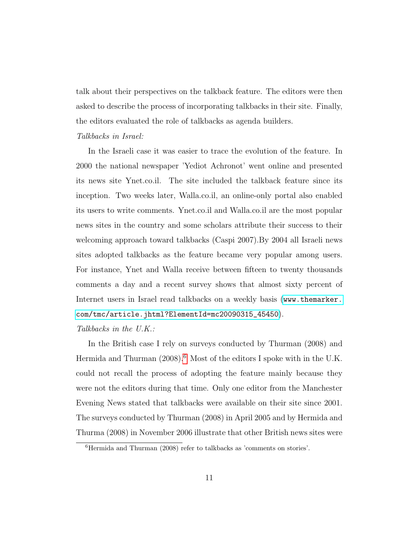talk about their perspectives on the talkback feature. The editors were then asked to describe the process of incorporating talkbacks in their site. Finally, the editors evaluated the role of talkbacks as agenda builders.

#### Talkbacks in Israel:

In the Israeli case it was easier to trace the evolution of the feature. In 2000 the national newspaper 'Yediot Achronot' went online and presented its news site Ynet.co.il. The site included the talkback feature since its inception. Two weeks later, Walla.co.il, an online-only portal also enabled its users to write comments. Ynet.co.il and Walla.co.il are the most popular news sites in the country and some scholars attribute their success to their welcoming approach toward talkbacks (Caspi 2007).By 2004 all Israeli news sites adopted talkbacks as the feature became very popular among users. For instance, Ynet and Walla receive between fifteen to twenty thousands comments a day and a recent survey shows that almost sixty percent of Internet users in Israel read talkbacks on a weekly basis ([www.themarker.](www.themarker.com/tmc/article.jhtml?ElementId=mc20090315_45450) [com/tmc/article.jhtml?ElementId=mc20090315\\_45450](www.themarker.com/tmc/article.jhtml?ElementId=mc20090315_45450)).

#### Talkbacks in the U.K.:

In the British case I rely on surveys conducted by Thurman (2008) and Hermida and Thurman  $(2008)^6$  $(2008)^6$  Most of the editors I spoke with in the U.K. could not recall the process of adopting the feature mainly because they were not the editors during that time. Only one editor from the Manchester Evening News stated that talkbacks were available on their site since 2001. The surveys conducted by Thurman (2008) in April 2005 and by Hermida and Thurma (2008) in November 2006 illustrate that other British news sites were

<span id="page-10-0"></span> ${}^{6}$ Hermida and Thurman (2008) refer to talkbacks as 'comments on stories'.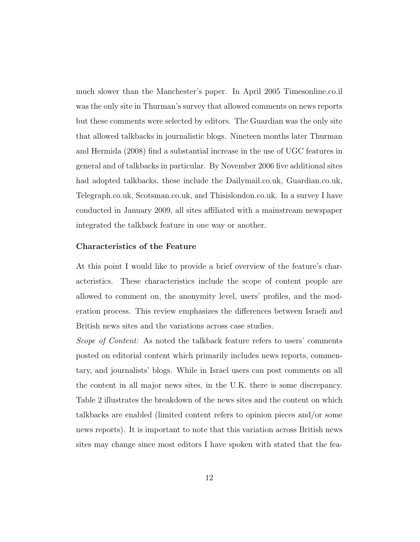much slower than the Manchester's paper. In April 2005 Timesonline.co.il was the only site in Thurman's survey that allowed comments on news reports but these comments were selected by editors. The Guardian was the only site that allowed talkbacks in journalistic blogs. Nineteen months later Thurman and Hermida (2008) find a substantial increase in the use of UGC features in general and of talkbacks in particular. By November 2006 five additional sites had adopted talkbacks, these include the Dailymail.co.uk, Guardian.co.uk, Telegraph.co.uk, Scotsman.co.uk, and Thisislondon.co.uk. In a survey I have conducted in January 2009, all sites affiliated with a mainstream newspaper integrated the talkback feature in one way or another.

#### Characteristics of the Feature

At this point I would like to provide a brief overview of the feature's characteristics. These characteristics include the scope of content people are allowed to comment on, the anonymity level, users' profiles, and the moderation process. This review emphasizes the differences between Israeli and British news sites and the variations across case studies.

Scope of Content: As noted the talkback feature refers to users' comments posted on editorial content which primarily includes news reports, commentary, and journalists' blogs. While in Israel users can post comments on all the content in all major news sites, in the U.K. there is some discrepancy. Table 2 illustrates the breakdown of the news sites and the content on which talkbacks are enabled (limited content refers to opinion pieces and/or some news reports). It is important to note that this variation across British news sites may change since most editors I have spoken with stated that the fea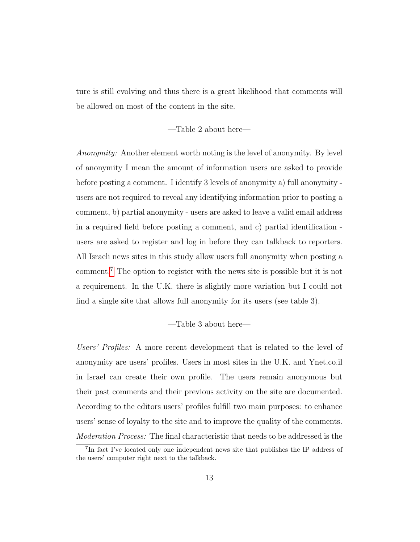ture is still evolving and thus there is a great likelihood that comments will be allowed on most of the content in the site.

—Table 2 about here—

Anonymity: Another element worth noting is the level of anonymity. By level of anonymity I mean the amount of information users are asked to provide before posting a comment. I identify 3 levels of anonymity a) full anonymity users are not required to reveal any identifying information prior to posting a comment, b) partial anonymity - users are asked to leave a valid email address in a required field before posting a comment, and c) partial identification users are asked to register and log in before they can talkback to reporters. All Israeli news sites in this study allow users full anonymity when posting a comment.[7](#page-12-0) The option to register with the news site is possible but it is not a requirement. In the U.K. there is slightly more variation but I could not find a single site that allows full anonymity for its users (see table 3).

—Table 3 about here—

Users' Profiles: A more recent development that is related to the level of anonymity are users' profiles. Users in most sites in the U.K. and Ynet.co.il in Israel can create their own profile. The users remain anonymous but their past comments and their previous activity on the site are documented. According to the editors users' profiles fulfill two main purposes: to enhance users' sense of loyalty to the site and to improve the quality of the comments. Moderation Process: The final characteristic that needs to be addressed is the

<span id="page-12-0"></span><sup>&</sup>lt;sup>7</sup>In fact I've located only one independent news site that publishes the IP address of the users' computer right next to the talkback.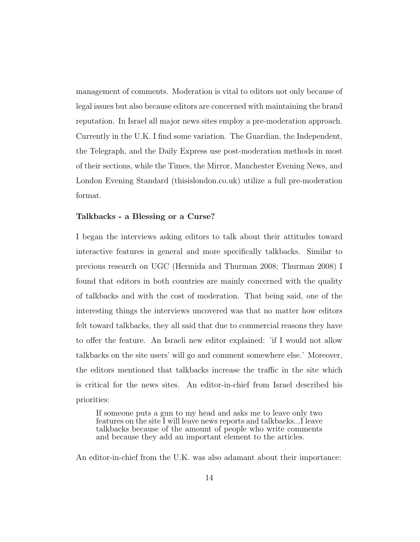management of comments. Moderation is vital to editors not only because of legal issues but also because editors are concerned with maintaining the brand reputation. In Israel all major news sites employ a pre-moderation approach. Currently in the U.K. I find some variation. The Guardian, the Independent, the Telegraph, and the Daily Express use post-moderation methods in most of their sections, while the Times, the Mirror, Manchester Evening News, and London Evening Standard (thisislondon.co.uk) utilize a full pre-moderation format.

#### Talkbacks - a Blessing or a Curse?

I began the interviews asking editors to talk about their attitudes toward interactive features in general and more specifically talkbacks. Similar to previous research on UGC (Hermida and Thurman 2008; Thurman 2008) I found that editors in both countries are mainly concerned with the quality of talkbacks and with the cost of moderation. That being said, one of the interesting things the interviews uncovered was that no matter how editors felt toward talkbacks, they all said that due to commercial reasons they have to offer the feature. An Israeli new editor explained: 'if I would not allow talkbacks on the site users' will go and comment somewhere else.' Moreover, the editors mentioned that talkbacks increase the traffic in the site which is critical for the news sites. An editor-in-chief from Israel described his priorities:

If someone puts a gun to my head and asks me to leave only two features on the site I will leave news reports and talkbacks...I leave talkbacks because of the amount of people who write comments and because they add an important element to the articles.

An editor-in-chief from the U.K. was also adamant about their importance: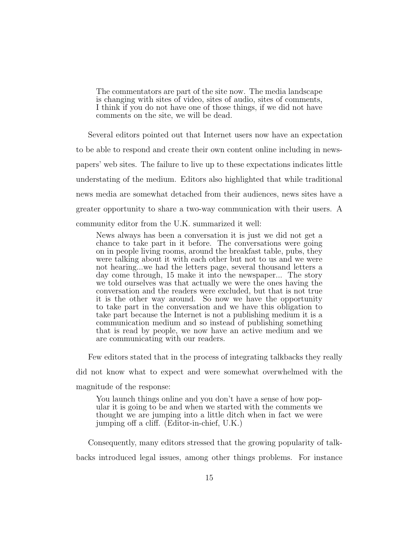The commentators are part of the site now. The media landscape is changing with sites of video, sites of audio, sites of comments, I think if you do not have one of those things, if we did not have comments on the site, we will be dead.

Several editors pointed out that Internet users now have an expectation to be able to respond and create their own content online including in newspapers' web sites. The failure to live up to these expectations indicates little understating of the medium. Editors also highlighted that while traditional news media are somewhat detached from their audiences, news sites have a greater opportunity to share a two-way communication with their users. A community editor from the U.K. summarized it well:

News always has been a conversation it is just we did not get a chance to take part in it before. The conversations were going on in people living rooms, around the breakfast table, pubs, they were talking about it with each other but not to us and we were not hearing...we had the letters page, several thousand letters a day come through, 15 make it into the newspaper... The story we told ourselves was that actually we were the ones having the conversation and the readers were excluded, but that is not true it is the other way around. So now we have the opportunity to take part in the conversation and we have this obligation to take part because the Internet is not a publishing medium it is a communication medium and so instead of publishing something that is read by people, we now have an active medium and we are communicating with our readers.

Few editors stated that in the process of integrating talkbacks they really

did not know what to expect and were somewhat overwhelmed with the

magnitude of the response:

You launch things online and you don't have a sense of how popular it is going to be and when we started with the comments we thought we are jumping into a little ditch when in fact we were jumping off a cliff. (Editor-in-chief, U.K.)

Consequently, many editors stressed that the growing popularity of talkbacks introduced legal issues, among other things problems. For instance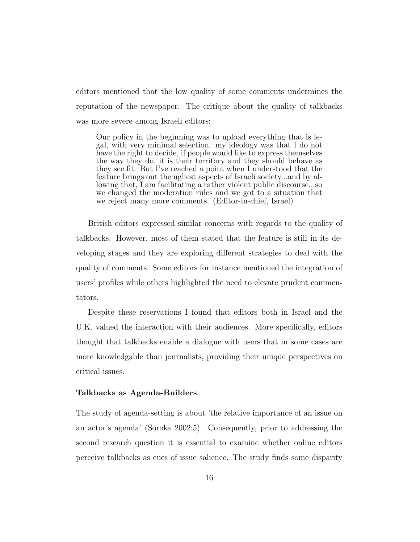editors mentioned that the low quality of some comments undermines the reputation of the newspaper. The critique about the quality of talkbacks was more severe among Israeli editors:

Our policy in the beginning was to upload everything that is legal, with very minimal selection. my ideology was that I do not have the right to decide, if people would like to express themselves the way they do, it is their territory and they should behave as they see fit. But I've reached a point when I understood that the feature brings out the ugliest aspects of Israeli society...and by allowing that, I am facilitating a rather violent public discourse...so we changed the moderation rules and we got to a situation that we reject many more comments. (Editor-in-chief, Israel)

British editors expressed similar concerns with regards to the quality of talkbacks. However, most of them stated that the feature is still in its developing stages and they are exploring different strategies to deal with the quality of comments. Some editors for instance mentioned the integration of users' profiles while others highlighted the need to elevate prudent commentators.

Despite these reservations I found that editors both in Israel and the U.K. valued the interaction with their audiences. More specifically, editors thought that talkbacks enable a dialogue with users that in some cases are more knowledgable than journalists, providing their unique perspectives on critical issues.

#### Talkbacks as Agenda-Builders

The study of agenda-setting is about 'the relative importance of an issue on an actor's agenda' (Soroka 2002:5). Consequently, prior to addressing the second research question it is essential to examine whether online editors perceive talkbacks as cues of issue salience. The study finds some disparity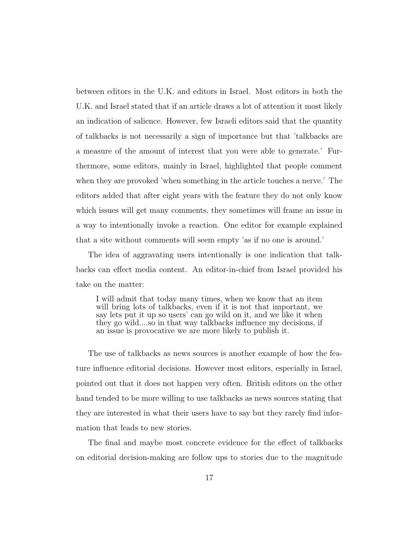between editors in the U.K. and editors in Israel. Most editors in both the U.K. and Israel stated that if an article draws a lot of attention it most likely an indication of salience. However, few Israeli editors said that the quantity of talkbacks is not necessarily a sign of importance but that 'talkbacks are a measure of the amount of interest that you were able to generate.' Furthermore, some editors, mainly in Israel, highlighted that people comment when they are provoked 'when something in the article touches a nerve.' The editors added that after eight years with the feature they do not only know which issues will get many comments, they sometimes will frame an issue in a way to intentionally invoke a reaction. One editor for example explained that a site without comments will seem empty 'as if no one is around.'

The idea of aggravating users intentionally is one indication that talkbacks can effect media content. An editor-in-chief from Israel provided his take on the matter:

I will admit that today many times, when we know that an item will bring lots of talkbacks, even if it is not that important, we say lets put it up so users' can go wild on it, and we like it when they go wild....so in that way talkbacks influence my decisions, if an issue is provocative we are more likely to publish it.

The use of talkbacks as news sources is another example of how the feature influence editorial decisions. However most editors, especially in Israel, pointed out that it does not happen very often. British editors on the other hand tended to be more willing to use talkbacks as news sources stating that they are interested in what their users have to say but they rarely find information that leads to new stories.

The final and maybe most concrete evidence for the effect of talkbacks on editorial decision-making are follow ups to stories due to the magnitude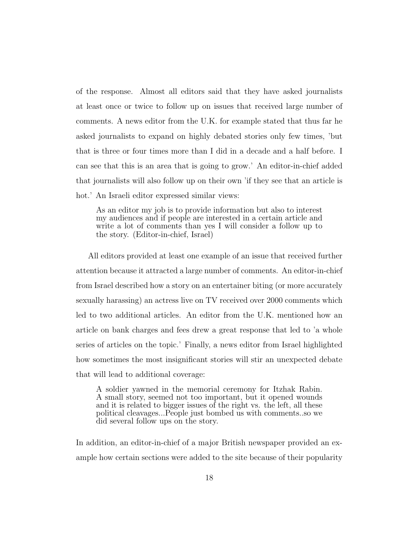of the response. Almost all editors said that they have asked journalists at least once or twice to follow up on issues that received large number of comments. A news editor from the U.K. for example stated that thus far he asked journalists to expand on highly debated stories only few times, 'but that is three or four times more than I did in a decade and a half before. I can see that this is an area that is going to grow.' An editor-in-chief added that journalists will also follow up on their own 'if they see that an article is hot.' An Israeli editor expressed similar views:

As an editor my job is to provide information but also to interest my audiences and if people are interested in a certain article and write a lot of comments than yes I will consider a follow up to the story. (Editor-in-chief, Israel)

All editors provided at least one example of an issue that received further attention because it attracted a large number of comments. An editor-in-chief from Israel described how a story on an entertainer biting (or more accurately sexually harassing) an actress live on TV received over 2000 comments which led to two additional articles. An editor from the U.K. mentioned how an article on bank charges and fees drew a great response that led to 'a whole series of articles on the topic.' Finally, a news editor from Israel highlighted how sometimes the most insignificant stories will stir an unexpected debate that will lead to additional coverage:

A soldier yawned in the memorial ceremony for Itzhak Rabin. A small story, seemed not too important, but it opened wounds and it is related to bigger issues of the right vs. the left, all these political cleavages...People just bombed us with comments..so we did several follow ups on the story.

In addition, an editor-in-chief of a major British newspaper provided an example how certain sections were added to the site because of their popularity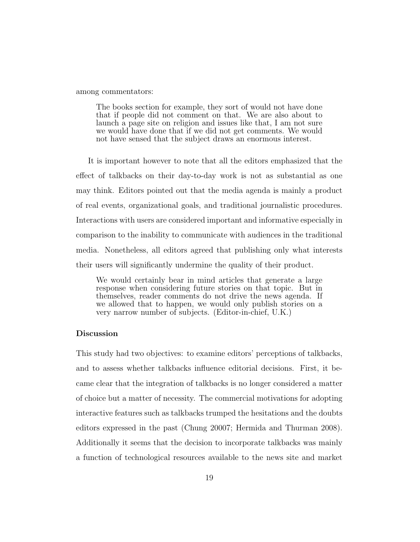among commentators:

The books section for example, they sort of would not have done that if people did not comment on that. We are also about to launch a page site on religion and issues like that, I am not sure we would have done that if we did not get comments. We would not have sensed that the subject draws an enormous interest.

It is important however to note that all the editors emphasized that the effect of talkbacks on their day-to-day work is not as substantial as one may think. Editors pointed out that the media agenda is mainly a product of real events, organizational goals, and traditional journalistic procedures. Interactions with users are considered important and informative especially in comparison to the inability to communicate with audiences in the traditional media. Nonetheless, all editors agreed that publishing only what interests their users will significantly undermine the quality of their product.

We would certainly bear in mind articles that generate a large response when considering future stories on that topic. But in themselves, reader comments do not drive the news agenda. If we allowed that to happen, we would only publish stories on a very narrow number of subjects. (Editor-in-chief, U.K.)

#### Discussion

This study had two objectives: to examine editors' perceptions of talkbacks, and to assess whether talkbacks influence editorial decisions. First, it became clear that the integration of talkbacks is no longer considered a matter of choice but a matter of necessity. The commercial motivations for adopting interactive features such as talkbacks trumped the hesitations and the doubts editors expressed in the past (Chung 20007; Hermida and Thurman 2008). Additionally it seems that the decision to incorporate talkbacks was mainly a function of technological resources available to the news site and market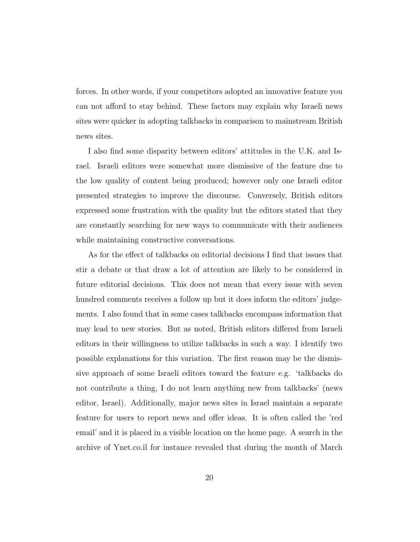forces. In other words, if your competitors adopted an innovative feature you can not afford to stay behind. These factors may explain why Israeli news sites were quicker in adopting talkbacks in comparison to mainstream British news sites.

I also find some disparity between editors' attitudes in the U.K. and Israel. Israeli editors were somewhat more dismissive of the feature due to the low quality of content being produced; however only one Israeli editor presented strategies to improve the discourse. Conversely, British editors expressed some frustration with the quality but the editors stated that they are constantly searching for new ways to communicate with their audiences while maintaining constructive conversations.

As for the effect of talkbacks on editorial decisions I find that issues that stir a debate or that draw a lot of attention are likely to be considered in future editorial decisions. This does not mean that every issue with seven hundred comments receives a follow up but it does inform the editors' judgements. I also found that in some cases talkbacks encompass information that may lead to new stories. But as noted, British editors differed from Israeli editors in their willingness to utilize talkbacks in such a way. I identify two possible explanations for this variation. The first reason may be the dismissive approach of some Israeli editors toward the feature e.g. 'talkbacks do not contribute a thing, I do not learn anything new from talkbacks' (news editor, Israel). Additionally, major news sites in Israel maintain a separate feature for users to report news and offer ideas. It is often called the 'red email' and it is placed in a visible location on the home page. A search in the archive of Ynet.co.il for instance revealed that during the month of March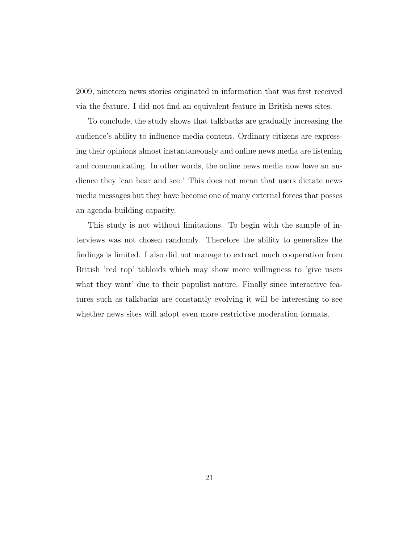2009, nineteen news stories originated in information that was first received via the feature. I did not find an equivalent feature in British news sites.

To conclude, the study shows that talkbacks are gradually increasing the audience's ability to influence media content. Ordinary citizens are expressing their opinions almost instantaneously and online news media are listening and communicating. In other words, the online news media now have an audience they 'can hear and see.' This does not mean that users dictate news media messages but they have become one of many external forces that posses an agenda-building capacity.

This study is not without limitations. To begin with the sample of interviews was not chosen randomly. Therefore the ability to generalize the findings is limited. I also did not manage to extract much cooperation from British 'red top' tabloids which may show more willingness to 'give users what they want' due to their populist nature. Finally since interactive features such as talkbacks are constantly evolving it will be interesting to see whether news sites will adopt even more restrictive moderation formats.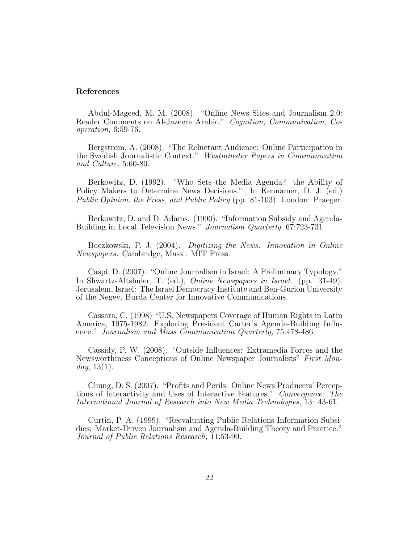#### References

Abdul-Mageed, M. M. (2008). "Online News Sites and Journalism 2.0: Reader Comments on Al-Jazeera Arabic." Cognition, Communication, Cooperation, 6:59-76.

Bergstrom, A. (2008). "The Reluctant Audience: Online Participation in the Swedish Journalistic Context." Westminster Papers in Communication and Culture, 5:60-80.

Berkowitz, D. (1992). "Who Sets the Media Agenda? the Ability of Policy Makers to Determine News Decisions." In Kennamer, D. J. (ed.) Public Opinion, the Press, and Public Policy (pp. 81-103). London: Praeger.

Berkowitz, D. and D. Adams. (1990). "Information Subsidy and Agenda-Building in Local Television News." Journalism Quarterly, 67:723-731.

Boczkowski, P. J. (2004). Digitizing the News: Innovation in Online Newspapers. Cambridge, Mass.: MIT Press.

Caspi, D. (2007). "Online Journalism in Israel: A Preliminary Typology." In Shwartz-Altshuler, T. (ed.), Online Newspapers in Israel. (pp. 31-49). Jerusalem, Israel: The Israel Democracy Institute and Ben-Gurion University of the Negev, Burda Center for Innovative Communications.

Cassara, C. (1998) "U.S. Newspapers Coverage of Human Rights in Latin America, 1975-1982: Exploring President Carter's Agenda-Building Influence." Journalism and Mass Communication Quarterly, 75:478-486.

Cassidy, P. W. (2008). "Outside Influences: Extramedia Forces and the Newsworthiness Conceptions of Online Newspaper Journalists" First Mon $day, 13(1).$ 

Chung, D. S. (2007). "Profits and Perils: Online News Producers' Perceptions of Interactivity and Uses of Interactive Features." Convergence: The International Journal of Research into New Media Technologies, 13: 43-61.

Curtin, P. A. (1999). "Reevaluating Public Relations Information Subsidies: Market-Driven Journalism and Agenda-Building Theory and Practice." Journal of Public Relations Research, 11:53-90.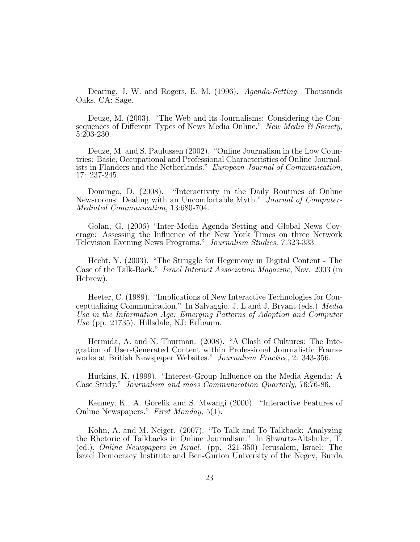Dearing, J. W. and Rogers, E. M. (1996). Agenda-Setting. Thousands Oaks, CA: Sage.

Deuze, M. (2003). "The Web and its Journalisms: Considering the Consequences of Different Types of News Media Online." New Media  $\mathcal C$  Society, 5:203-230.

Deuze, M. and S. Paulussen (2002). "Online Journalism in the Low Countries: Basic, Occupational and Professional Characteristics of Online Journalists in Flanders and the Netherlands." European Journal of Communication, 17: 237-245.

Domingo, D. (2008). "Interactivity in the Daily Routines of Online Newsrooms: Dealing with an Uncomfortable Myth." Journal of Computer-Mediated Communication, 13:680-704.

Golan, G. (2006) "Inter-Media Agenda Setting and Global News Coverage: Assessing the Influence of the New York Times on three Network Television Evening News Programs." Journalism Studies, 7:323-333.

Hecht, Y. (2003). "The Struggle for Hegemony in Digital Content - The Case of the Talk-Back." Israel Internet Association Magazine, Nov. 2003 (in Hebrew).

Heeter, C. (1989). "Implications of New Interactive Technologies for Conceptualizing Communication." In Salvaggio, J. L.and J. Bryant (eds.) Media Use in the Information Age: Emerging Patterns of Adoption and Computer Use (pp. 21735). Hillsdale, NJ: Erlbaum.

Hermida, A. and N. Thurman. (2008). "A Clash of Cultures: The Integration of User-Generated Content within Professional Journalistic Frameworks at British Newspaper Websites." Journalism Practice, 2: 343-356.

Huckins, K. (1999). "Interest-Group Influence on the Media Agenda: A Case Study." Journalism and mass Communication Quarterly, 76:76-86.

Kenney, K., A. Gorelik and S. Mwangi (2000). "Interactive Features of Online Newspapers." First Monday, 5(1).

Kohn, A. and M. Neiger. (2007). "To Talk and To Talkback: Analyzing the Rhetoric of Talkbacks in Online Journalism." In Shwartz-Altshuler, T. (ed.), Online Newspapers in Israel. (pp. 321-350) Jerusalem, Israel: The Israel Democracy Institute and Ben-Gurion University of the Negev, Burda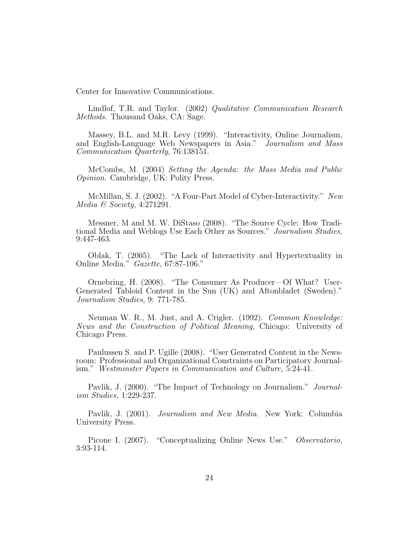Center for Innovative Communications.

Lindlof, T.R. and Taylor. (2002) Qualitative Communication Research Methods. Thousand Oaks, CA: Sage.

Massey, B.L. and M.R. Levy (1999). "Interactivity, Online Journalism, and English-Language Web Newspapers in Asia." Journalism and Mass Communication Quarterly, 76:138151.

McCombs, M. (2004) Setting the Agenda: the Mass Media and Public Opinion. Cambridge, UK: Polity Press.

McMillan, S. J. (2002). "A Four-Part Model of Cyber-Interactivity." New Media & Society, 4:271291.

Messner, M and M. W. DiStaso (2008). "The Source Cycle: How Traditional Media and Weblogs Use Each Other as Sources." Journalism Studies, 9:447-463.

Oblak, T. (2005). "The Lack of Interactivity and Hypertextuality in Online Media." Gazette, 67:87-106."

Ornebring, H. (2008). "The Consumer As Producer—Of What? User-Generated Tabloid Content in the Sun (UK) and Aftonbladet (Sweden)." Journalism Studies, 9: 771-785.

Neuman W. R., M. Just, and A. Crigler. (1992). Common Knowledge: News and the Construction of Political Meaning, Chicago: University of Chicago Press.

Paulussen S. and P. Ugille (2008). "User Generated Content in the Newsroom: Professional and Organizational Constraints on Participatory Journalism." Westminster Papers in Communication and Culture, 5:24-41.

Pavlik, J. (2000). "The Impact of Technology on Journalism." *Journal*ism Studies, 1:229-237.

Pavlik, J. (2001). Journalism and New Media. New York: Columbia University Press.

Picone I. (2007). "Conceptualizing Online News Use." Observatorio, 3:93-114.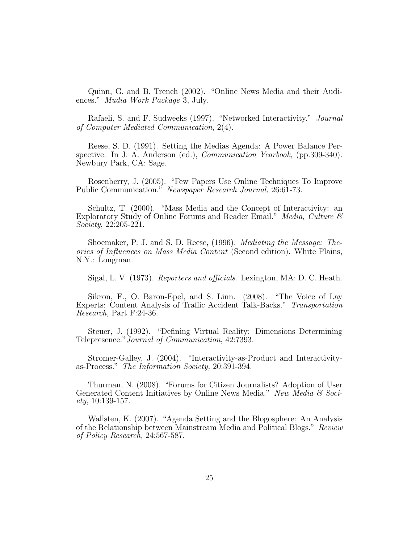Quinn, G. and B. Trench (2002). "Online News Media and their Audiences." Mudia Work Package 3, July.

Rafaeli, S. and F. Sudweeks (1997). "Networked Interactivity." Journal of Computer Mediated Communication, 2(4).

Reese, S. D. (1991). Setting the Medias Agenda: A Power Balance Perspective. In J. A. Anderson (ed.), Communication Yearbook, (pp.309-340). Newbury Park, CA: Sage.

Rosenberry, J. (2005). "Few Papers Use Online Techniques To Improve Public Communication." Newspaper Research Journal, 26:61-73.

Schultz, T. (2000). "Mass Media and the Concept of Interactivity: an Exploratory Study of Online Forums and Reader Email." Media, Culture & Society, 22:205-221.

Shoemaker, P. J. and S. D. Reese, (1996). Mediating the Message: Theories of Influences on Mass Media Content (Second edition). White Plains, N.Y.: Longman.

Sigal, L. V. (1973). Reporters and officials. Lexington, MA: D. C. Heath.

Sikron, F., O. Baron-Epel, and S. Linn. (2008). "The Voice of Lay Experts: Content Analysis of Traffic Accident Talk-Backs." Transportation Research, Part F:24-36.

Steuer, J. (1992). "Defining Virtual Reality: Dimensions Determining Telepresence."Journal of Communication, 42:7393.

Stromer-Galley, J. (2004). "Interactivity-as-Product and Interactivityas-Process." The Information Society, 20:391-394.

Thurman, N. (2008). "Forums for Citizen Journalists? Adoption of User Generated Content Initiatives by Online News Media." New Media & Soci $ety, 10:139-157.$ 

Wallsten, K. (2007). "Agenda Setting and the Blogosphere: An Analysis of the Relationship between Mainstream Media and Political Blogs." Review of Policy Research, 24:567-587.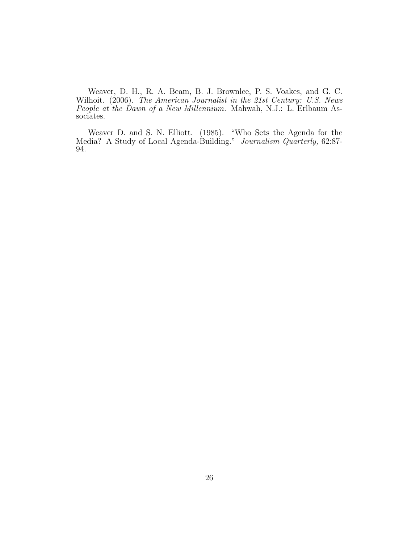Weaver, D. H., R. A. Beam, B. J. Brownlee, P. S. Voakes, and G. C. Wilhoit. (2006). The American Journalist in the 21st Century: U.S. News People at the Dawn of a New Millennium. Mahwah, N.J.: L. Erlbaum Associates.

Weaver D. and S. N. Elliott. (1985). "Who Sets the Agenda for the Media? A Study of Local Agenda-Building." Journalism Quarterly, 62:87-94.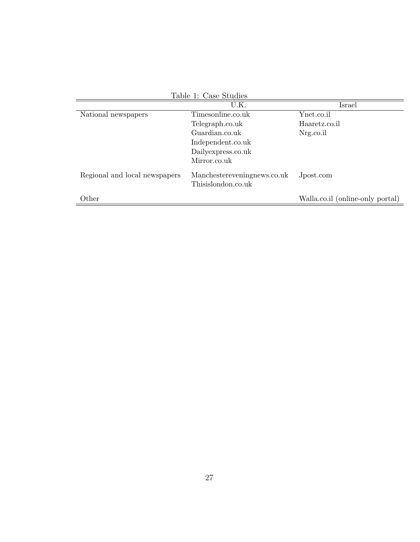| Table 1: Case Studies         |                                                   |                                  |  |  |
|-------------------------------|---------------------------------------------------|----------------------------------|--|--|
|                               | U.K.                                              | Israel                           |  |  |
| National newspapers           | Timesonline.co.uk                                 | Ynet.co.il                       |  |  |
|                               | Telegraph.co.uk                                   | Haaretz.co.il                    |  |  |
|                               | Guardian.co.uk                                    | Nrg.co.il                        |  |  |
|                               | Independent.co.uk                                 |                                  |  |  |
|                               | Dailyexpress.co.uk                                |                                  |  |  |
|                               | Mirror.co.uk                                      |                                  |  |  |
| Regional and local newspapers | Manchestereveningnews.co.uk<br>Thisislondon.co.uk | Jpost.com                        |  |  |
| Other                         |                                                   | Walla.co.il (online-only portal) |  |  |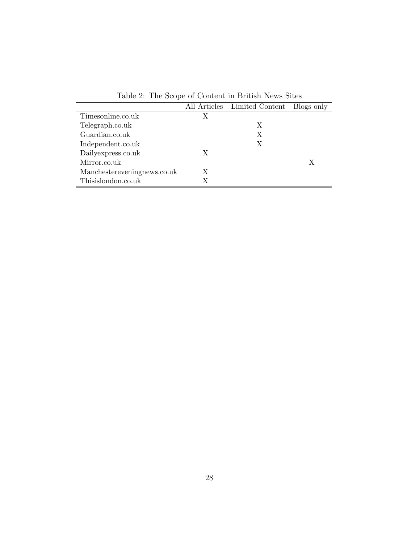| Table 2. The beope of Content in Diffusit Rems britis |   |                              |            |
|-------------------------------------------------------|---|------------------------------|------------|
|                                                       |   | All Articles Limited Content | Blogs only |
| Timesonline.co.uk                                     | X |                              |            |
| Telegraph.co.uk                                       |   | X                            |            |
| Guardian.co.uk                                        |   | X                            |            |
| Independent.co.uk                                     |   | X                            |            |
| Dailyexpress.co.uk                                    | Х |                              |            |
| Mirror.co.uk                                          |   |                              | Х          |
| Manchestereveningnews.co.uk                           | Х |                              |            |
| Thisislondon.co.uk                                    |   |                              |            |

Table 2: The Scope of Content in British News Sites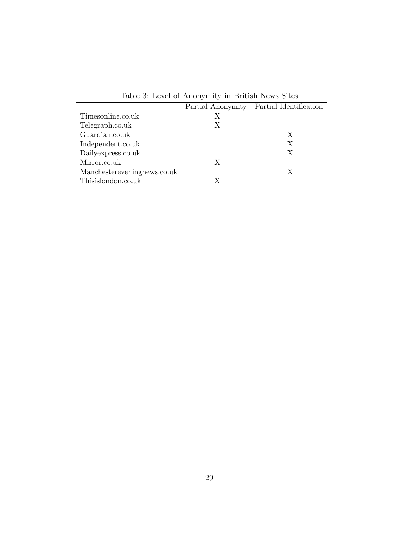| Table 0. Level of Amonymity in Diffusit News Shees |   |                                          |  |  |
|----------------------------------------------------|---|------------------------------------------|--|--|
|                                                    |   | Partial Anonymity Partial Identification |  |  |
| Timesonline.co.uk                                  | Х |                                          |  |  |
| Telegraph.co.uk                                    | X |                                          |  |  |
| Guardian.co.uk                                     |   | X                                        |  |  |
| Independent.co.uk                                  |   | Х                                        |  |  |
| Dailyexpress.co.uk                                 |   | X                                        |  |  |
| Mirror.co.uk                                       | X |                                          |  |  |
| Manchestereveningnews.co.uk                        |   | X                                        |  |  |
| Thisislondon.co.uk                                 | X |                                          |  |  |

Table 3: Level of Anonymity in British News Sites